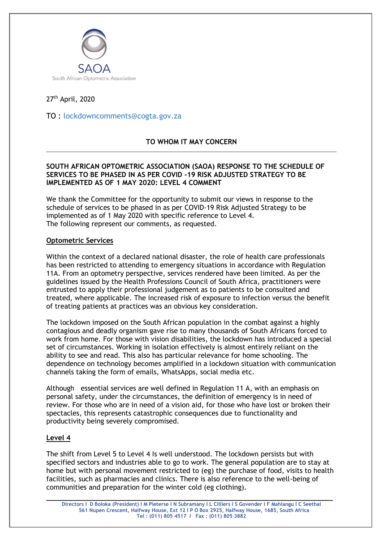

# 27th April, 2020

TO : [lockdowncomments@cogta.gov.za](mailto:lockdowncomments@cogta.gov.za)

# **TO WHOM IT MAY CONCERN**

### **SOUTH AFRICAN OPTOMETRIC ASSOCIATION (SAOA) RESPONSE TO THE SCHEDULE OF SERVICES TO BE PHASED IN AS PER COVID -19 RISK ADJUSTED STRATEGY TO BE IMPLEMENTED AS OF 1 MAY 2020: LEVEL 4 COMMENT**

We thank the Committee for the opportunity to submit our views in response to the schedule of services to be phased in as per COVID-19 Risk Adjusted Strategy to be implemented as of 1 May 2020 with specific reference to Level 4. The following represent our comments, as requested.

#### **Optometric Services**

Within the context of a declared national disaster, the role of health care professionals has been restricted to attending to emergency situations in accordance with Regulation 11A. From an optometry perspective, services rendered have been limited. As per the guidelines issued by the Health Professions Council of South Africa, practitioners were entrusted to apply their professional judgement as to patients to be consulted and treated, where applicable. The increased risk of exposure to infection versus the benefit of treating patients at practices was an obvious key consideration.

The lockdown imposed on the South African population in the combat against a highly contagious and deadly organism gave rise to many thousands of South Africans forced to work from home. For those with vision disabilities, the lockdown has introduced a special set of circumstances. Working in isolation effectively is almost entirely reliant on the ability to see and read. This also has particular relevance for home schooling. The dependence on technology becomes amplified in a lockdown situation with communication channels taking the form of emails, WhatsApps, social media etc.

Although essential services are well defined in Regulation 11 A, with an emphasis on personal safety, under the circumstances, the definition of emergency is in need of review. For those who are in need of a vision aid, for those who have lost or broken their spectacles, this represents catastrophic consequences due to functionality and productivity being severely compromised.

#### **Level 4**

The shift from Level 5 to Level 4 Is well understood. The lockdown persists but with specified sectors and industries able to go to work. The general population are to stay at home but with personal movement restricted to (eg) the purchase of food, visits to health facilities, such as pharmacies and clinics. There is also reference to the well-being of communities and preparation for the winter cold (eg clothing).

**\_\_\_\_\_\_\_\_\_\_\_\_\_\_\_\_\_\_\_\_\_\_\_\_\_\_\_\_\_\_\_\_\_\_\_\_\_\_\_\_\_\_\_\_\_\_\_\_\_\_\_\_\_\_\_\_\_\_\_\_\_\_\_\_\_\_\_\_\_\_\_\_\_\_\_\_**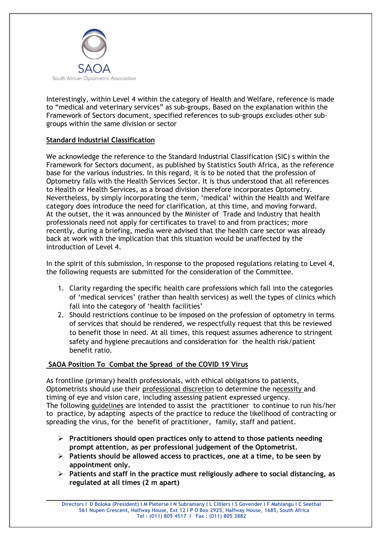

Interestingly, within Level 4 within the category of Health and Welfare, reference is made to "medical and veterinary services" as sub-groups. Based on the explanation within the Framework of Sectors document, specified references to sub-groups excludes other subgroups within the same division or sector

### **Standard Industrial Classification**

We acknowledge the reference to the Standard Industrial Classification (SIC) s within the Framework for Sectors document, as published by Statistics South Africa, as the reference base for the various industries. In this regard, it is to be noted that the profession of Optometry falls with the Health Services Sector. It is thus understood that all references to Health or Health Services, as a broad division therefore incorporates Optometry. Nevertheless, by simply incorporating the term, 'medical' within the Health and Welfare category does introduce the need for clarification, at this time, and moving forward. At the outset, the it was announced by the Minister of Trade and Industry that health professionals need not apply for certificates to travel to and from practices; more recently, during a briefing, media were advised that the health care sector was already back at work with the implication that this situation would be unaffected by the introduction of Level 4.

In the spirit of this submission, in response to the proposed regulations relating to Level 4, the following requests are submitted for the consideration of the Committee.

- 1. Clarity regarding the specific health care professions which fall into the categories of 'medical services' (rather than health services) as well the types of clinics which fall into the category of 'health facilities'
- 2. Should restrictions continue to be imposed on the profession of optometry in terms of services that should be rendered, we respectfully request that this be reviewed to benefit those in need. At all times, this request assumes adherence to stringent safety and hygiene precautions and consideration for the health risk/patient benefit ratio.

# **SAOA Position To Combat the Spread of the COVID 19 Virus**

As frontline (primary) health professionals, with ethical obligations to patients, Optometrists should use their professional discretion to determine the necessity and timing of eye and vision care, including assessing patient expressed urgency. The following guidelines are intended to assist the practitioner to continue to run his/her to practice, by adapting aspects of the practice to reduce the likelihood of contracting or spreading the virus, for the benefit of practitioner, family, staff and patient.

- ➢ **Practitioners should open practices only to attend to those patients needing prompt attention, as per professional judgement of the Optometrist.**
- ➢ **Patients should be allowed access to practices, one at a time, to be seen by appointment only.**
- ➢ **Patients and staff in the practice must religiously adhere to social distancing, as regulated at all times (2 m apart)**

**\_\_\_\_\_\_\_\_\_\_\_\_\_\_\_\_\_\_\_\_\_\_\_\_\_\_\_\_\_\_\_\_\_\_\_\_\_\_\_\_\_\_\_\_\_\_\_\_\_\_\_\_\_\_\_\_\_\_\_\_\_\_\_\_\_\_\_\_\_\_\_\_\_\_\_\_**